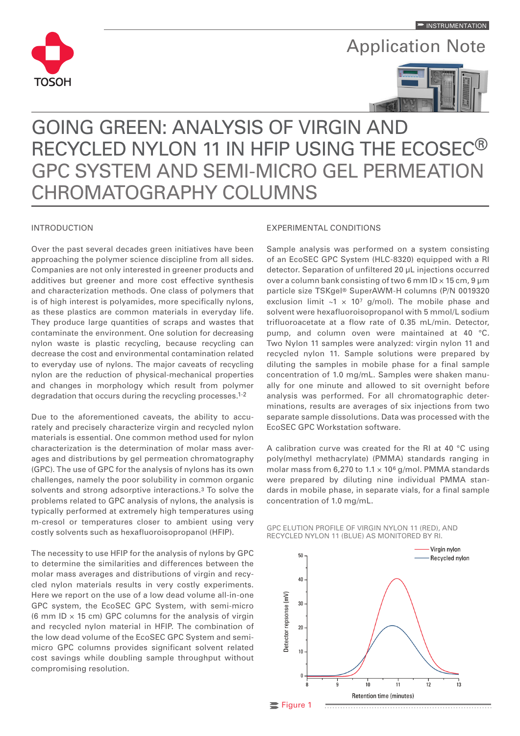

Application Note



# GOING GREEN: ANALYSIS OF VIRGIN AND RECYCLED NYLON 11 IN HFIP USING THE ECOSEC® GPC SYSTEM AND SEMI-MICRO GEL PERMEATION CHROMATOGRAPHY COLUMNS

## INTRODUCTION

Over the past several decades green initiatives have been approaching the polymer science discipline from all sides. Companies are not only interested in greener products and additives but greener and more cost effective synthesis and characterization methods. One class of polymers that is of high interest is polyamides, more specifically nylons, as these plastics are common materials in everyday life. They produce large quantities of scraps and wastes that contaminate the environment. One solution for decreasing nylon waste is plastic recycling, because recycling can decrease the cost and environmental contamination related to everyday use of nylons. The major caveats of recycling nylon are the reduction of physical-mechanical properties and changes in morphology which result from polymer degradation that occurs during the recycling processes.1-2

Due to the aforementioned caveats, the ability to accurately and precisely characterize virgin and recycled nylon materials is essential. One common method used for nylon characterization is the determination of molar mass averages and distributions by gel permeation chromatography (GPC). The use of GPC for the analysis of nylons has its own challenges, namely the poor solubility in common organic solvents and strong adsorptive interactions.<sup>3</sup> To solve the problems related to GPC analysis of nylons, the analysis is typically performed at extremely high temperatures using m-cresol or temperatures closer to ambient using very costly solvents such as hexafluoroisopropanol (HFIP).

The necessity to use HFIP for the analysis of nylons by GPC to determine the similarities and differences between the molar mass averages and distributions of virgin and recycled nylon materials results in very costly experiments. Here we report on the use of a low dead volume all-in-one GPC system, the EcoSEC GPC System, with semi-micro (6 mm ID  $\times$  15 cm) GPC columns for the analysis of virgin and recycled nylon material in HFIP. The combination of the low dead volume of the EcoSEC GPC System and semimicro GPC columns provides significant solvent related cost savings while doubling sample throughput without compromising resolution.

## EXPERIMENTAL CONDITIONS

Sample analysis was performed on a system consisting of an EcoSEC GPC System (HLC-8320) equipped with a RI detector. Separation of unfiltered 20 µL injections occurred over a column bank consisting of two 6 mm ID  $\times$  15 cm, 9 µm particle size TSKgel® SuperAWM-H columns (P/N 0019320 exclusion limit  $\sim 1 \times 10^7$  g/mol). The mobile phase and solvent were hexafluoroisopropanol with 5 mmol/L sodium trifluoroacetate at a flow rate of 0.35 mL/min. Detector, pump, and column oven were maintained at 40 °C. Two Nylon 11 samples were analyzed: virgin nylon 11 and recycled nylon 11. Sample solutions were prepared by diluting the samples in mobile phase for a final sample concentration of 1.0 mg/mL. Samples were shaken manually for one minute and allowed to sit overnight before analysis was performed. For all chromatographic determinations, results are averages of six injections from two separate sample dissolutions. Data was processed with the EcoSEC GPC Workstation software.

A calibration curve was created for the RI at 40 °C using poly(methyl methacrylate) (PMMA) standards ranging in molar mass from 6,270 to  $1.1 \times 10^6$  g/mol. PMMA standards were prepared by diluting nine individual PMMA standards in mobile phase, in separate vials, for a final sample concentration of 1.0 mg/mL.

GPC ELUTION PROFILE OF VIRGIN NYLON 11 (RED), AND RECYCLED NYLON 11 (BLUE) AS MONITORED BY RI.